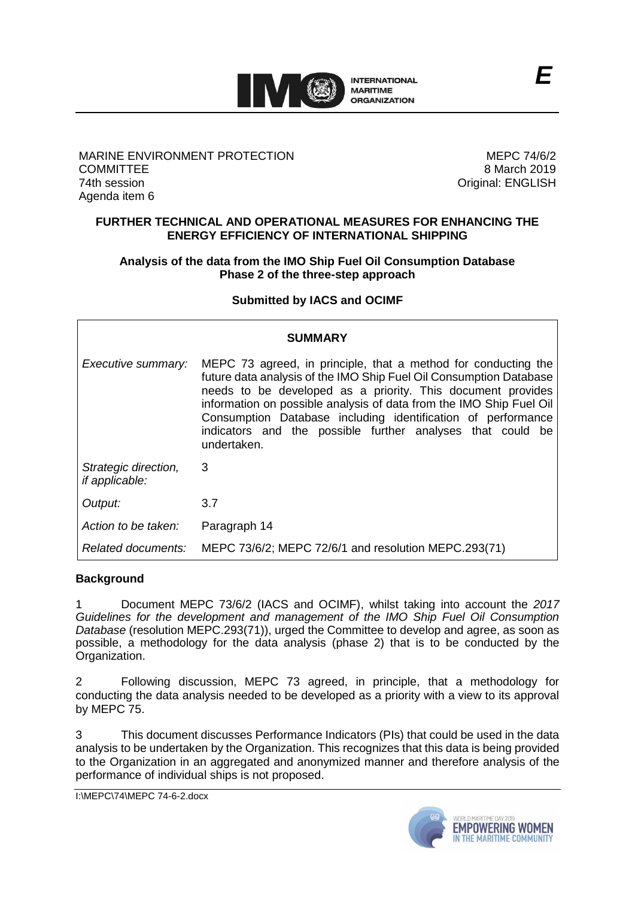

## MARINE ENVIRONMENT PROTECTION **COMMITTEE** 74th session Agenda item 6

MEPC 74/6/2 8 March 2019 Original: ENGLISH

## **FURTHER TECHNICAL AND OPERATIONAL MEASURES FOR ENHANCING THE ENERGY EFFICIENCY OF INTERNATIONAL SHIPPING**

# **Analysis of the data from the IMO Ship Fuel Oil Consumption Database Phase 2 of the three-step approach**

## **Submitted by IACS and OCIMF**

| SUMMARY                                       |                                                                                                                                                                                                                                                                                                                                                                                                                         |
|-----------------------------------------------|-------------------------------------------------------------------------------------------------------------------------------------------------------------------------------------------------------------------------------------------------------------------------------------------------------------------------------------------------------------------------------------------------------------------------|
| Executive summary:                            | MEPC 73 agreed, in principle, that a method for conducting the<br>future data analysis of the IMO Ship Fuel Oil Consumption Database<br>needs to be developed as a priority. This document provides<br>information on possible analysis of data from the IMO Ship Fuel Oil<br>Consumption Database including identification of performance<br>indicators and the possible further analyses that could be<br>undertaken. |
| Strategic direction,<br><i>if applicable:</i> | 3                                                                                                                                                                                                                                                                                                                                                                                                                       |
| Output:                                       | 3.7                                                                                                                                                                                                                                                                                                                                                                                                                     |
| Action to be taken:                           | Paragraph 14                                                                                                                                                                                                                                                                                                                                                                                                            |
| Related documents:                            | MEPC 73/6/2; MEPC 72/6/1 and resolution MEPC.293(71)                                                                                                                                                                                                                                                                                                                                                                    |

## **Background**

1 Document MEPC 73/6/2 (IACS and OCIMF), whilst taking into account the *2017 Guidelines for the development and management of the IMO Ship Fuel Oil Consumption Database* (resolution MEPC.293(71)), urged the Committee to develop and agree, as soon as possible, a methodology for the data analysis (phase 2) that is to be conducted by the Organization.

2 Following discussion, MEPC 73 agreed, in principle, that a methodology for conducting the data analysis needed to be developed as a priority with a view to its approval by MEPC 75.

3 This document discusses Performance Indicators (PIs) that could be used in the data analysis to be undertaken by the Organization. This recognizes that this data is being provided to the Organization in an aggregated and anonymized manner and therefore analysis of the performance of individual ships is not proposed.

I:\MEPC\74\MEPC 74-6-2.docx

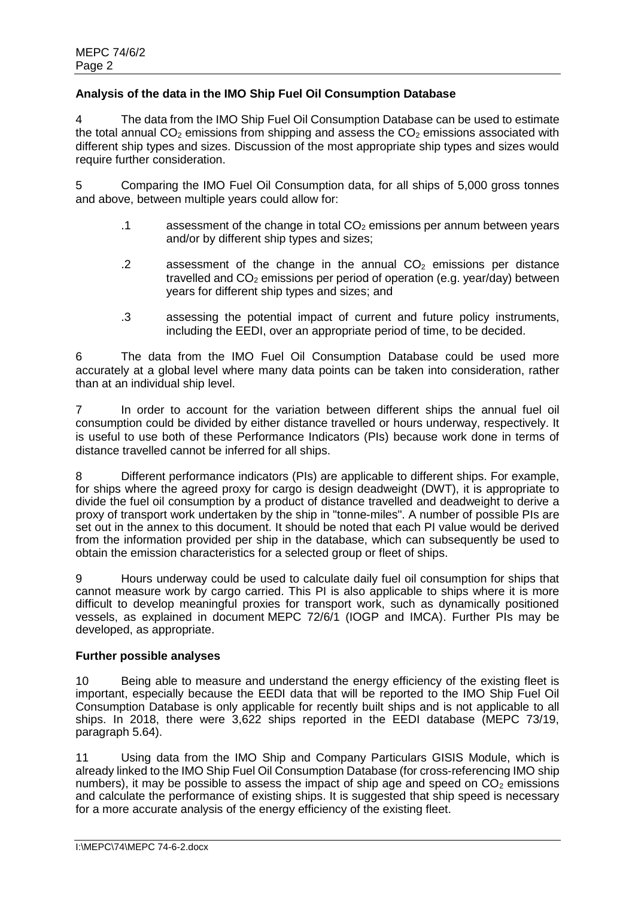# **Analysis of the data in the IMO Ship Fuel Oil Consumption Database**

4 The data from the IMO Ship Fuel Oil Consumption Database can be used to estimate the total annual  $CO<sub>2</sub>$  emissions from shipping and assess the  $CO<sub>2</sub>$  emissions associated with different ship types and sizes. Discussion of the most appropriate ship types and sizes would require further consideration.

5 Comparing the IMO Fuel Oil Consumption data, for all ships of 5,000 gross tonnes and above, between multiple years could allow for:

- .1 assessment of the change in total  $CO<sub>2</sub>$  emissions per annum between years and/or by different ship types and sizes;
- .2 assessment of the change in the annual  $CO<sub>2</sub>$  emissions per distance travelled and  $CO<sub>2</sub>$  emissions per period of operation (e.g. year/day) between years for different ship types and sizes; and
- .3 assessing the potential impact of current and future policy instruments, including the EEDI, over an appropriate period of time, to be decided.

6 The data from the IMO Fuel Oil Consumption Database could be used more accurately at a global level where many data points can be taken into consideration, rather than at an individual ship level.

7 In order to account for the variation between different ships the annual fuel oil consumption could be divided by either distance travelled or hours underway, respectively. It is useful to use both of these Performance Indicators (PIs) because work done in terms of distance travelled cannot be inferred for all ships.

8 Different performance indicators (PIs) are applicable to different ships. For example, for ships where the agreed proxy for cargo is design deadweight (DWT), it is appropriate to divide the fuel oil consumption by a product of distance travelled and deadweight to derive a proxy of transport work undertaken by the ship in "tonne-miles". A number of possible PIs are set out in the annex to this document. It should be noted that each PI value would be derived from the information provided per ship in the database, which can subsequently be used to obtain the emission characteristics for a selected group or fleet of ships.

9 Hours underway could be used to calculate daily fuel oil consumption for ships that cannot measure work by cargo carried. This PI is also applicable to ships where it is more difficult to develop meaningful proxies for transport work, such as dynamically positioned vessels, as explained in document MEPC 72/6/1 (IOGP and IMCA). Further PIs may be developed, as appropriate.

## **Further possible analyses**

10 Being able to measure and understand the energy efficiency of the existing fleet is important, especially because the EEDI data that will be reported to the IMO Ship Fuel Oil Consumption Database is only applicable for recently built ships and is not applicable to all ships. In 2018, there were 3,622 ships reported in the EEDI database (MEPC 73/19, paragraph 5.64).

11 Using data from the IMO Ship and Company Particulars GISIS Module, which is already linked to the IMO Ship Fuel Oil Consumption Database (for cross-referencing IMO ship numbers), it may be possible to assess the impact of ship age and speed on  $CO<sub>2</sub>$  emissions and calculate the performance of existing ships. It is suggested that ship speed is necessary for a more accurate analysis of the energy efficiency of the existing fleet.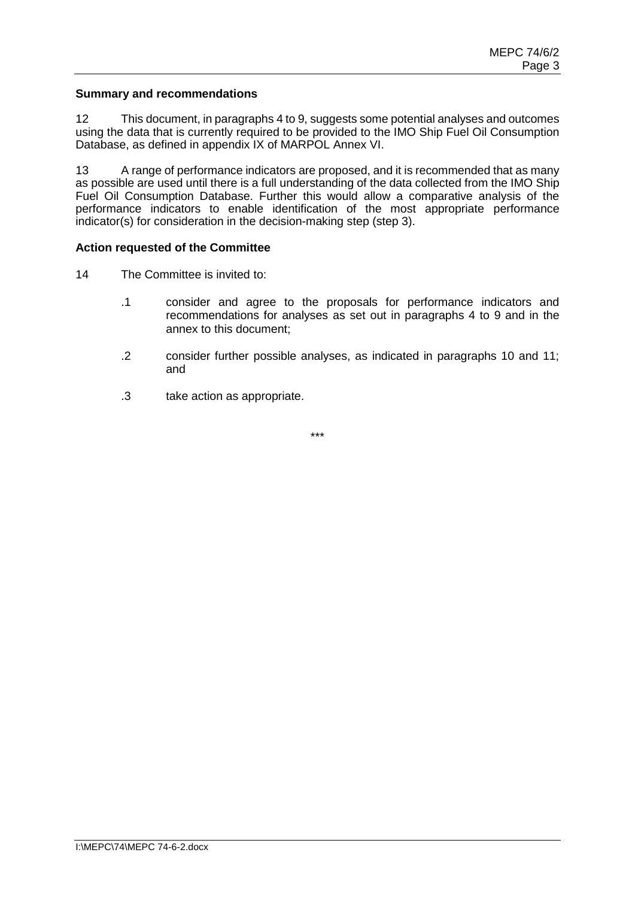#### **Summary and recommendations**

12 This document, in paragraphs 4 to 9, suggests some potential analyses and outcomes using the data that is currently required to be provided to the IMO Ship Fuel Oil Consumption Database, as defined in appendix IX of MARPOL Annex VI.

13 A range of performance indicators are proposed, and it is recommended that as many as possible are used until there is a full understanding of the data collected from the IMO Ship Fuel Oil Consumption Database. Further this would allow a comparative analysis of the performance indicators to enable identification of the most appropriate performance indicator(s) for consideration in the decision-making step (step 3).

#### **Action requested of the Committee**

14 The Committee is invited to:

- .1 consider and agree to the proposals for performance indicators and recommendations for analyses as set out in paragraphs 4 to 9 and in the annex to this document;
- .2 consider further possible analyses, as indicated in paragraphs 10 and 11; and
- .3 take action as appropriate.

\*\*\*